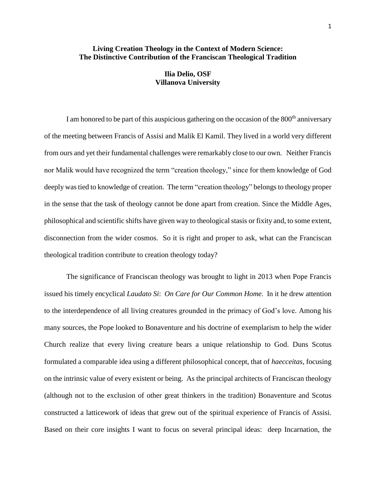# **Living Creation Theology in the Context of Modern Science: The Distinctive Contribution of the Franciscan Theological Tradition**

# **Ilia Delio, OSF Villanova University**

I am honored to be part of this auspicious gathering on the occasion of the  $800<sup>th</sup>$  anniversary of the meeting between Francis of Assisi and Malik El Kamil. They lived in a world very different from ours and yet their fundamental challenges were remarkably close to our own. Neither Francis nor Malik would have recognized the term "creation theology," since for them knowledge of God deeply was tied to knowledge of creation. The term "creation theology" belongs to theology proper in the sense that the task of theology cannot be done apart from creation. Since the Middle Ages, philosophical and scientific shifts have given way to theological stasis or fixity and, to some extent, disconnection from the wider cosmos. So it is right and proper to ask, what can the Franciscan theological tradition contribute to creation theology today?

The significance of Franciscan theology was brought to light in 2013 when Pope Francis issued his timely encyclical *Laudato Si*: *On Care for Our Common Home.* In it he drew attention to the interdependence of all living creatures grounded in the primacy of God's love. Among his many sources, the Pope looked to Bonaventure and his doctrine of exemplarism to help the wider Church realize that every living creature bears a unique relationship to God. Duns Scotus formulated a comparable idea using a different philosophical concept, that of *haecceitas*, focusing on the intrinsic value of every existent or being. As the principal architects of Franciscan theology (although not to the exclusion of other great thinkers in the tradition) Bonaventure and Scotus constructed a latticework of ideas that grew out of the spiritual experience of Francis of Assisi. Based on their core insights I want to focus on several principal ideas: deep Incarnation, the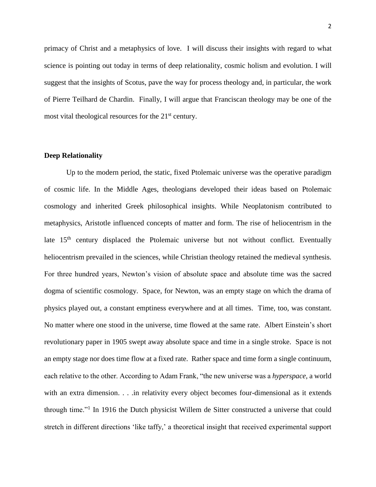primacy of Christ and a metaphysics of love. I will discuss their insights with regard to what science is pointing out today in terms of deep relationality, cosmic holism and evolution. I will suggest that the insights of Scotus, pave the way for process theology and, in particular, the work of Pierre Teilhard de Chardin. Finally, I will argue that Franciscan theology may be one of the most vital theological resources for the 21<sup>st</sup> century.

### **Deep Relationality**

Up to the modern period, the static, fixed Ptolemaic universe was the operative paradigm of cosmic life. In the Middle Ages, theologians developed their ideas based on Ptolemaic cosmology and inherited Greek philosophical insights. While Neoplatonism contributed to metaphysics, Aristotle influenced concepts of matter and form. The rise of heliocentrism in the late  $15<sup>th</sup>$  century displaced the Ptolemaic universe but not without conflict. Eventually heliocentrism prevailed in the sciences, while Christian theology retained the medieval synthesis. For three hundred years, Newton's vision of absolute space and absolute time was the sacred dogma of scientific cosmology. Space, for Newton, was an empty stage on which the drama of physics played out, a constant emptiness everywhere and at all times. Time, too, was constant. No matter where one stood in the universe, time flowed at the same rate. Albert Einstein's short revolutionary paper in 1905 swept away absolute space and time in a single stroke. Space is not an empty stage nor does time flow at a fixed rate. Rather space and time form a single continuum, each relative to the other. According to Adam Frank, "the new universe was a *hyperspace,* a world with an extra dimension. . . .in relativity every object becomes four-dimensional as it extends through time."<sup>1</sup> In 1916 the Dutch physicist Willem de Sitter constructed a universe that could stretch in different directions 'like taffy,' a theoretical insight that received experimental support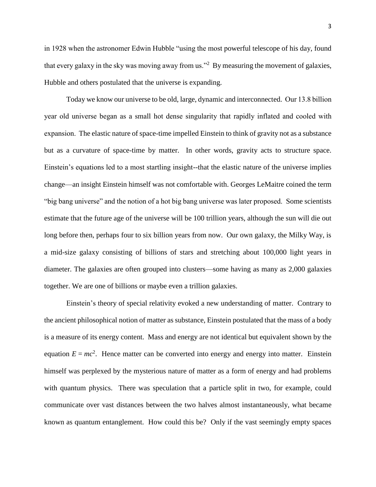in 1928 when the astronomer Edwin Hubble "using the most powerful telescope of his day, found that every galaxy in the sky was moving away from us."<sup>2</sup> By measuring the movement of galaxies, Hubble and others postulated that the universe is expanding.

Today we know our universe to be old, large, dynamic and interconnected. Our 13.8 billion year old universe began as a small hot dense singularity that rapidly inflated and cooled with expansion. The elastic nature of space-time impelled Einstein to think of gravity not as a substance but as a curvature of space-time by matter. In other words, gravity acts to structure space. Einstein's equations led to a most startling insight--that the elastic nature of the universe implies change—an insight Einstein himself was not comfortable with. Georges LeMaitre coined the term "big bang universe" and the notion of a hot big bang universe was later proposed. Some scientists estimate that the future age of the universe will be 100 trillion years, although the sun will die out long before then, perhaps four to six billion years from now. Our own galaxy, the Milky Way, is a mid-size galaxy consisting of billions of stars and stretching about 100,000 light years in diameter. The galaxies are often grouped into clusters—some having as many as 2,000 galaxies together. We are one of billions or maybe even a trillion galaxies.

Einstein's theory of special relativity evoked a new understanding of matter. Contrary to the ancient philosophical notion of matter as substance, Einstein postulated that the mass of a body is a measure of its energy content. Mass and energy are not identical but equivalent shown by the equation  $E = mc^2$ . Hence matter can be converted into energy and energy into matter. Einstein himself was perplexed by the mysterious nature of matter as a form of energy and had problems with quantum physics. There was speculation that a particle split in two, for example, could communicate over vast distances between the two halves almost instantaneously, what became known as quantum entanglement. How could this be? Only if the vast seemingly empty spaces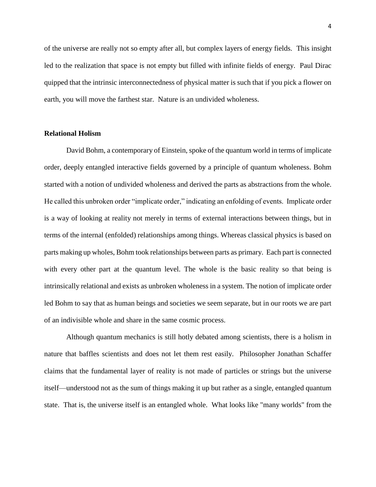of the universe are really not so empty after all, but complex layers of energy fields. This insight led to the realization that space is not empty but filled with infinite fields of energy. Paul Dirac quipped that the intrinsic interconnectedness of physical matter is such that if you pick a flower on earth, you will move the farthest star. Nature is an undivided wholeness.

## **Relational Holism**

David Bohm, a contemporary of Einstein, spoke of the quantum world in terms of implicate order, deeply entangled interactive fields governed by a principle of quantum wholeness. Bohm started with a notion of undivided wholeness and derived the parts as abstractions from the whole. He called this unbroken order "implicate order," indicating an enfolding of events. Implicate order is a way of looking at reality not merely in terms of external interactions between things, but in terms of the internal (enfolded) relationships among things. Whereas classical physics is based on parts making up wholes, Bohm took relationships between parts as primary. Each part is connected with every other part at the quantum level. The whole is the basic reality so that being is intrinsically relational and exists as unbroken wholeness in a system. The notion of implicate order led Bohm to say that as human beings and societies we seem separate, but in our roots we are part of an indivisible whole and share in the same cosmic process.

Although quantum mechanics is still hotly debated among scientists, there is a holism in nature that baffles scientists and does not let them rest easily. Philosopher Jonathan Schaffer claims that the fundamental layer of reality is not made of particles or strings but the universe itself—understood not as the sum of things making it up but rather as a single, entangled quantum state. That is, the universe itself is an entangled whole. What looks like "many worlds" from the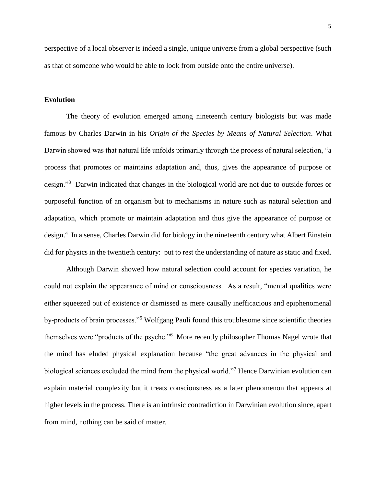perspective of a local observer is indeed a single, unique universe from a global perspective (such as that of someone who would be able to look from outside onto the entire universe).

### **Evolution**

The theory of evolution emerged among nineteenth century biologists but was made famous by Charles Darwin in his *Origin of the Species by Means of Natural Selection*. What Darwin showed was that natural life unfolds primarily through the process of natural selection, "a process that promotes or maintains adaptation and, thus, gives the appearance of purpose or design."<sup>3</sup> Darwin indicated that changes in the biological world are not due to outside forces or purposeful function of an organism but to mechanisms in nature such as natural selection and adaptation, which promote or maintain adaptation and thus give the appearance of purpose or design.<sup>4</sup> In a sense, Charles Darwin did for biology in the nineteenth century what Albert Einstein did for physics in the twentieth century: put to rest the understanding of nature as static and fixed.

Although Darwin showed how natural selection could account for species variation, he could not explain the appearance of mind or consciousness. As a result, "mental qualities were either squeezed out of existence or dismissed as mere causally inefficacious and epiphenomenal by-products of brain processes."<sup>5</sup> Wolfgang Pauli found this troublesome since scientific theories themselves were "products of the psyche."<sup>6</sup> More recently philosopher Thomas Nagel wrote that the mind has eluded physical explanation because "the great advances in the physical and biological sciences excluded the mind from the physical world."<sup>7</sup> Hence Darwinian evolution can explain material complexity but it treats consciousness as a later phenomenon that appears at higher levels in the process. There is an intrinsic contradiction in Darwinian evolution since, apart from mind, nothing can be said of matter.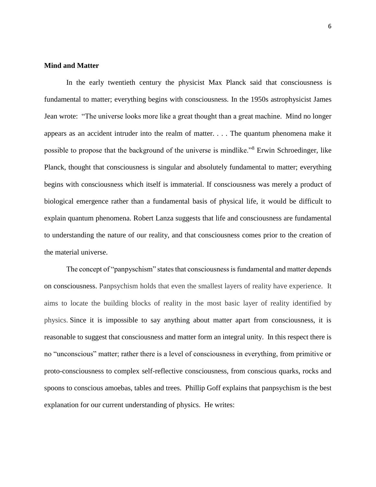## **Mind and Matter**

In the early twentieth century the physicist Max Planck said that consciousness is fundamental to matter; everything begins with consciousness. In the 1950s astrophysicist James Jean wrote: "The universe looks more like a great thought than a great machine. Mind no longer appears as an accident intruder into the realm of matter. . . . The quantum phenomena make it possible to propose that the background of the universe is mindlike."<sup>8</sup> Erwin Schroedinger, like Planck, thought that consciousness is singular and absolutely fundamental to matter; everything begins with consciousness which itself is immaterial. If consciousness was merely a product of biological emergence rather than a fundamental basis of physical life, it would be difficult to explain quantum phenomena. Robert Lanza suggests that life and consciousness are fundamental to understanding the nature of our reality, and that consciousness comes prior to the creation of the material universe.

The concept of "panpyschism" states that consciousness is fundamental and matter depends on consciousness. Panpsychism holds that even the smallest layers of reality have experience. It aims to locate the building blocks of reality in the most basic layer of reality identified by physics. Since it is impossible to say anything about matter apart from consciousness, it is reasonable to suggest that consciousness and matter form an integral unity. In this respect there is no "unconscious" matter; rather there is a level of consciousness in everything, from primitive or proto-consciousness to complex self-reflective consciousness, from conscious quarks, rocks and spoons to conscious amoebas, tables and trees. Phillip Goff explains that panpsychism is the best explanation for our current understanding of physics. He writes: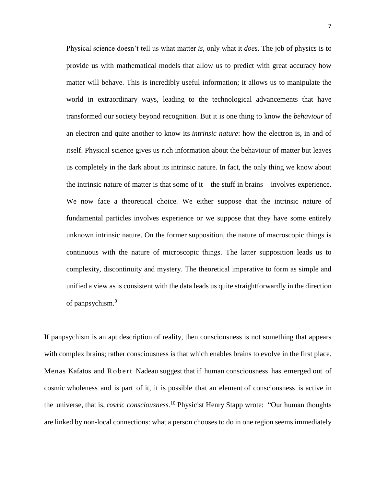Physical science doesn't tell us what matter *is*, only what it *does*. The job of physics is to provide us with mathematical models that allow us to predict with great accuracy how matter will behave. This is incredibly useful information; it allows us to manipulate the world in extraordinary ways, leading to the technological advancements that have transformed our society beyond recognition. But it is one thing to know the *behaviour* of an electron and quite another to know its *intrinsic nature*: how the electron is, in and of itself. Physical science gives us rich information about the behaviour of matter but leaves us completely in the dark about its intrinsic nature. In fact, the only thing we know about the intrinsic nature of matter is that some of  $it$  – the stuff in brains – involves experience. We now face a theoretical choice. We either suppose that the intrinsic nature of fundamental particles involves experience or we suppose that they have some entirely unknown intrinsic nature. On the former supposition, the nature of macroscopic things is continuous with the nature of microscopic things. The latter supposition leads us to complexity, discontinuity and mystery. The theoretical imperative to form as simple and unified a view as is consistent with the data leads us quite straightforwardly in the direction of panpsychism.<sup>9</sup>

If panpsychism is an apt description of reality, then consciousness is not something that appears with complex brains; rather consciousness is that which enables brains to evolve in the first place. Menas Kafatos and R obert Nadeau suggest that if human consciousness has emerged out of cosmic wholeness and is part of it, it is possible that an element of consciousness is active in the universe, that is, *cosmic consciousness.*<sup>10</sup> Physicist Henry Stapp wrote: "Our human thoughts are linked by non-local connections: what a person chooses to do in one region seems immediately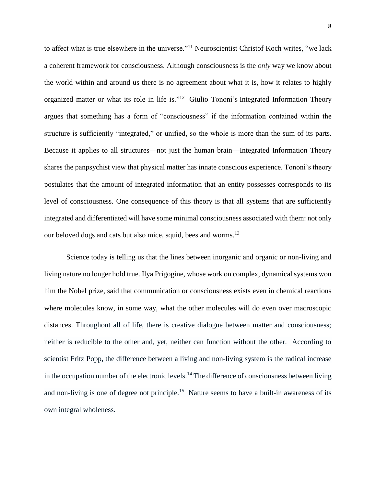to affect what is true elsewhere in the universe."<sup>11</sup> Neuroscientist Christof Koch writes, "we lack a coherent framework for consciousness. Although consciousness is the *only* way we know about the world within and around us there is no agreement about what it is, how it relates to highly organized matter or what its role in life is."<sup>12</sup> Giulio Tononi's [Integrated Information Theory](http://integratedinformationtheory.org/) argues that something has a form of "consciousness" if the information contained within the structure is sufficiently "integrated," or unified, so the whole is more than the sum of its parts. Because it applies to all structures—not just the human brain—Integrated Information Theory shares [the panpsychist view](https://philosophynow.org/issues/121/The_Integrated_Information_Theory_of_Consciousness) that physical matter has innate conscious experience. Tononi's theory postulates that the amount of integrated information that an entity possesses corresponds to its level of consciousness. One consequence of this theory is that all systems that are sufficiently integrated and differentiated will have some minimal consciousness associated with them: not only our beloved dogs and cats but also mice, squid, bees and worms.<sup>13</sup>

Science today is telling us that the lines between inorganic and organic or non-living and living nature no longer hold true. Ilya Prigogine, whose work on complex, dynamical systems won him the Nobel prize, said that communication or consciousness exists even in chemical reactions where molecules know, in some way, what the other molecules will do even over macroscopic distances. Throughout all of life, there is creative dialogue between matter and consciousness; neither is reducible to the other and, yet, neither can function without the other. According to scientist Fritz Popp, the difference between a living and non-living system is the radical increase in the occupation number of the electronic levels.<sup>14</sup> The difference of consciousness between living and non-living is one of degree not principle.<sup>15</sup> Nature seems to have a built-in awareness of its own integral wholeness.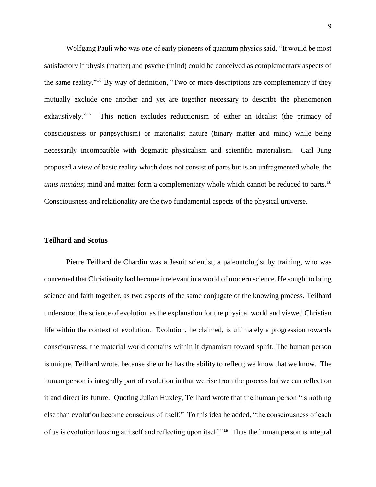Wolfgang Pauli who was one of early pioneers of quantum physics said, "It would be most satisfactory if physis (matter) and psyche (mind) could be conceived as complementary aspects of the same reality."<sup>16</sup> By way of definition, "Two or more descriptions are complementary if they mutually exclude one another and yet are together necessary to describe the phenomenon exhaustively."<sup>17</sup> This notion excludes reductionism of either an idealist (the primacy of consciousness or panpsychism) or materialist nature (binary matter and mind) while being necessarily incompatible with dogmatic physicalism and scientific materialism. Carl Jung proposed a view of basic reality which does not consist of parts but is an unfragmented whole, the *unus mundus*; mind and matter form a complementary whole which cannot be reduced to parts.<sup>18</sup> Consciousness and relationality are the two fundamental aspects of the physical universe.

#### **Teilhard and Scotus**

Pierre Teilhard de Chardin was a Jesuit scientist, a paleontologist by training, who was concerned that Christianity had become irrelevant in a world of modern science. He sought to bring science and faith together, as two aspects of the same conjugate of the knowing process. Teilhard understood the science of evolution as the explanation for the physical world and viewed Christian life within the context of evolution. Evolution, he claimed, is ultimately a progression towards consciousness; the material world contains within it dynamism toward spirit. The human person is unique, Teilhard wrote, because she or he has the ability to reflect; we know that we know. The human person is integrally part of evolution in that we rise from the process but we can reflect on it and direct its future. Quoting Julian Huxley, Teilhard wrote that the human person "is nothing else than evolution become conscious of itself." To this idea he added, "the consciousness of each of us is evolution looking at itself and reflecting upon itself."<sup>19</sup> Thus the human person is integral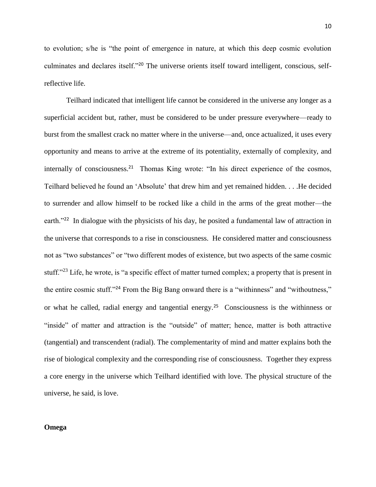to evolution; s/he is "the point of emergence in nature, at which this deep cosmic evolution culminates and declares itself."<sup>20</sup> The universe orients itself toward intelligent, conscious, selfreflective life.

Teilhard indicated that intelligent life cannot be considered in the universe any longer as a superficial accident but, rather, must be considered to be under pressure everywhere—ready to burst from the smallest crack no matter where in the universe—and, once actualized, it uses every opportunity and means to arrive at the extreme of its potentiality, externally of complexity, and internally of consciousness.<sup>21</sup> Thomas King wrote: "In his direct experience of the cosmos, Teilhard believed he found an 'Absolute' that drew him and yet remained hidden. . . .He decided to surrender and allow himself to be rocked like a child in the arms of the great mother—the earth."<sup>22</sup> In dialogue with the physicists of his day, he posited a fundamental law of attraction in the universe that corresponds to a rise in consciousness. He considered matter and consciousness not as "two substances" or "two different modes of existence, but two aspects of the same cosmic stuff."<sup>23</sup> Life, he wrote, is "a specific effect of matter turned complex; a property that is present in the entire cosmic stuff."<sup>24</sup> From the Big Bang onward there is a "withinness" and "withoutness," or what he called, radial energy and tangential energy.<sup>25</sup> Consciousness is the withinness or "inside" of matter and attraction is the "outside" of matter; hence, matter is both attractive (tangential) and transcendent (radial). The complementarity of mind and matter explains both the rise of biological complexity and the corresponding rise of consciousness. Together they express a core energy in the universe which Teilhard identified with love. The physical structure of the universe, he said, is love.

# **Omega**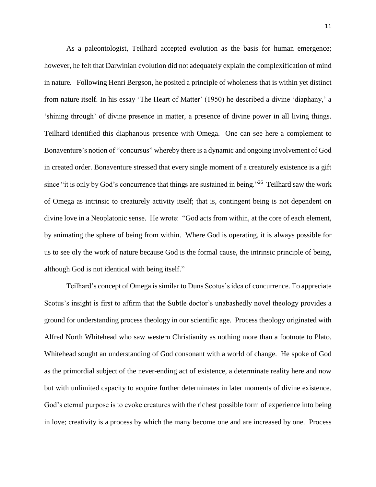As a paleontologist, Teilhard accepted evolution as the basis for human emergence; however, he felt that Darwinian evolution did not adequately explain the complexification of mind in nature. Following Henri Bergson, he posited a principle of wholeness that is within yet distinct from nature itself. In his essay 'The Heart of Matter' (1950) he described a divine 'diaphany,' a 'shining through' of divine presence in matter, a presence of divine power in all living things. Teilhard identified this diaphanous presence with Omega. One can see here a complement to Bonaventure's notion of "concursus" whereby there is a dynamic and ongoing involvement of God in created order. Bonaventure stressed that every single moment of a creaturely existence is a gift since "it is only by God's concurrence that things are sustained in being."<sup>26</sup> Teilhard saw the work of Omega as intrinsic to creaturely activity itself; that is, contingent being is not dependent on divine love in a Neoplatonic sense. He wrote: "God acts from within, at the core of each element, by animating the sphere of being from within. Where God is operating, it is always possible for us to see oly the work of nature because God is the formal cause, the intrinsic principle of being, although God is not identical with being itself."

Teilhard's concept of Omega is similar to Duns Scotus's idea of concurrence. To appreciate Scotus's insight is first to affirm that the Subtle doctor's unabashedly novel theology provides a ground for understanding process theology in our scientific age. Process theology originated with Alfred North Whitehead who saw western Christianity as nothing more than a footnote to Plato. Whitehead sought an understanding of God consonant with a world of change. He spoke of God as the primordial subject of the never-ending act of existence, a determinate reality here and now but with unlimited capacity to acquire further determinates in later moments of divine existence. God's eternal purpose is to evoke creatures with the richest possible form of experience into being in love; creativity is a process by which the many become one and are increased by one. Process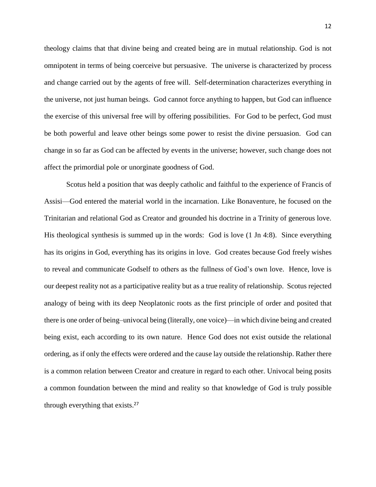theology claims that that divine being and created being are in mutual relationship. God is not omnipotent in terms of being coerceive but persuasive. The universe is characterized by process and change carried out by the agents of [free will.](http://en.wikipedia.org/wiki/Free_will) [Self-determination](http://en.wikipedia.org/wiki/Self-determination) characterizes everything in the [universe,](http://en.wikipedia.org/wiki/Universe) not just human beings. God cannot force anything to happen, but God can influence the exercise of this universal free will by offering possibilities. For God to be perfect, God must be both powerful and leave other beings some power to resist the divine persuasion. God can change in so far as God can be affected by events in the universe; however, such change does not affect the primordial pole or unorginate goodness of God.

Scotus held a position that was deeply catholic and faithful to the experience of Francis of Assisi—God entered the material world in the incarnation. Like Bonaventure, he focused on the Trinitarian and relational God as Creator and grounded his doctrine in a Trinity of generous love. His theological synthesis is summed up in the words: God is love (1 Jn 4:8). Since everything has its origins in God, everything has its origins in love. God creates because God freely wishes to reveal and communicate Godself to others as the fullness of God's own love. Hence, love is our deepest reality not as a participative reality but as a true reality of relationship. Scotus rejected analogy of being with its deep Neoplatonic roots as the first principle of order and posited that there is one order of being–univocal being (literally, one voice)—in which divine being and created being exist, each according to its own nature. Hence God does not exist outside the relational ordering, as if only the effects were ordered and the cause lay outside the relationship. Rather there is a common relation between Creator and creature in regard to each other. Univocal being posits a common foundation between the mind and reality so that knowledge of God is truly possible through everything that exists. 27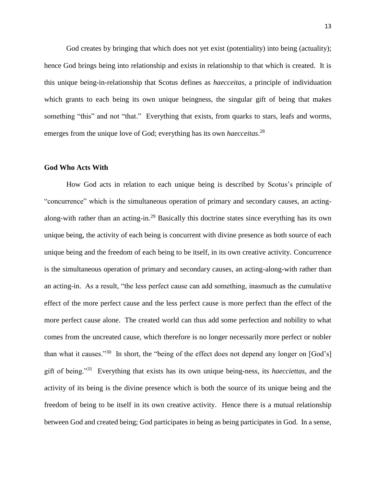God creates by bringing that which does not yet exist (potentiality) into being (actuality); hence God brings being into relationship and exists in relationship to that which is created. It is this unique being-in-relationship that Scotus defines as *haecceitas,* a principle of individuation which grants to each being its own unique beingness, the singular gift of being that makes something "this" and not "that." Everything that exists, from quarks to stars, leafs and worms, emerges from the unique love of God; everything has its own *haecceitas*. 28

## **God Who Acts With**

How God acts in relation to each unique being is described by Scotus's principle of "concurrence" which is the simultaneous operation of primary and secondary causes, an actingalong-with rather than an acting-in.<sup>29</sup> Basically this doctrine states since everything has its own unique being, the activity of each being is concurrent with divine presence as both source of each unique being and the freedom of each being to be itself, in its own creative activity. Concurrence is the simultaneous operation of primary and secondary causes, an acting-along-with rather than an acting-in. As a result, "the less perfect cause can add something, inasmuch as the cumulative effect of the more perfect cause and the less perfect cause is more perfect than the effect of the more perfect cause alone. The created world can thus add some perfection and nobility to what comes from the uncreated cause, which therefore is no longer necessarily more perfect or nobler than what it causes."<sup>30</sup> In short, the "being of the effect does not depend any longer on [God's] gift of being."<sup>31</sup> Everything that exists has its own unique being-ness, its *haecciettas*, and the activity of its being is the divine presence which is both the source of its unique being and the freedom of being to be itself in its own creative activity. Hence there is a mutual relationship between God and created being; God participates in being as being participates in God. In a sense,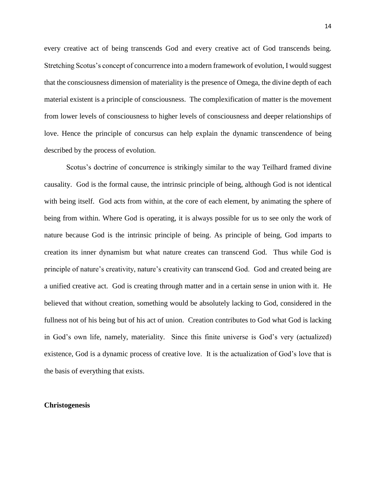every creative act of being transcends God and every creative act of God transcends being. Stretching Scotus's concept of concurrence into a modern framework of evolution, I would suggest that the consciousness dimension of materiality is the presence of Omega, the divine depth of each material existent is a principle of consciousness. The complexification of matter is the movement from lower levels of consciousness to higher levels of consciousness and deeper relationships of love. Hence the principle of concursus can help explain the dynamic transcendence of being described by the process of evolution.

Scotus's doctrine of concurrence is strikingly similar to the way Teilhard framed divine causality. God is the formal cause, the intrinsic principle of being, although God is not identical with being itself. God acts from within, at the core of each element, by animating the sphere of being from within. Where God is operating, it is always possible for us to see only the work of nature because God is the intrinsic principle of being. As principle of being, God imparts to creation its inner dynamism but what nature creates can transcend God. Thus while God is principle of nature's creativity, nature's creativity can transcend God. God and created being are a unified creative act. God is creating through matter and in a certain sense in union with it. He believed that without creation, something would be absolutely lacking to God, considered in the fullness not of his being but of his act of union. Creation contributes to God what God is lacking in God's own life, namely, materiality. Since this finite universe is God's very (actualized) existence, God is a dynamic process of creative love. It is the actualization of God's love that is the basis of everything that exists.

### **Christogenesis**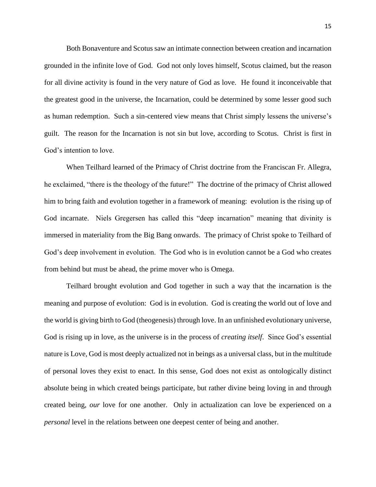Both Bonaventure and Scotus saw an intimate connection between creation and incarnation grounded in the infinite love of God. God not only loves himself, Scotus claimed, but the reason for all divine activity is found in the very nature of God as love. He found it inconceivable that the greatest good in the universe, the Incarnation, could be determined by some lesser good such as human redemption. Such a sin-centered view means that Christ simply lessens the universe's guilt. The reason for the Incarnation is not sin but love, according to Scotus. Christ is first in God's intention to love.

When Teilhard learned of the Primacy of Christ doctrine from the Franciscan Fr. Allegra, he exclaimed, "there is the theology of the future!" The doctrine of the primacy of Christ allowed him to bring faith and evolution together in a framework of meaning: evolution is the rising up of God incarnate. Niels Gregersen has called this "deep incarnation" meaning that divinity is immersed in materiality from the Big Bang onwards. The primacy of Christ spoke to Teilhard of God's deep involvement in evolution. The God who is in evolution cannot be a God who creates from behind but must be ahead, the prime mover who is Omega.

Teilhard brought evolution and God together in such a way that the incarnation is the meaning and purpose of evolution: God is in evolution. God is creating the world out of love and the world is giving birth to God (theogenesis) through love. In an unfinished evolutionary universe, God is rising up in love, as the universe is in the process of *creating itself*. Since God's essential nature is Love, God is most deeply actualized not in beings as a universal class, but in the multitude of personal loves they exist to enact. In this sense, God does not exist as ontologically distinct absolute being in which created beings participate, but rather divine being loving in and through created being, *our* love for one another. Only in actualization can love be experienced on a *personal* level in the relations between one deepest center of being and another.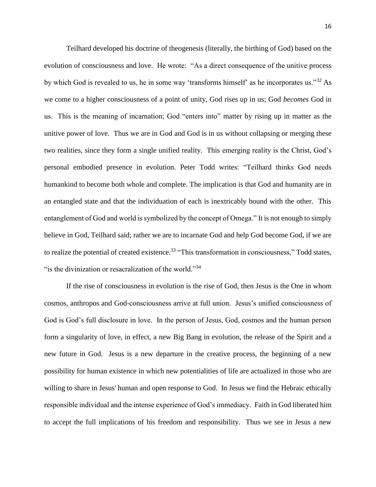Teilhard developed his doctrine of theogenesis (literally, the birthing of God) based on the evolution of consciousness and love. He wrote: "As a direct consequence of the unitive process by which God is revealed to us, he in some way 'transforms himself' as he incorporates us."<sup>32</sup> As we come to a higher consciousness of a point of unity, God rises up in us; God *becomes* God in us. This is the meaning of incarnation; God "enters into" matter by rising up in matter as the unitive power of love. Thus we are in God and God is in us without collapsing or merging these two realities, since they form a single unified reality. This emerging reality is the Christ, God's personal embodied presence in evolution. Peter Todd writes: "Teilhard thinks God needs humankind to become both whole and complete. The implication is that God and humanity are in an entangled state and that the individuation of each is inextricably bound with the other. This entanglement of God and world is symbolized by the concept of Omega." It is not enough to simply believe in God, Teilhard said; rather we are to incarnate God and help God become God, if we are to realize the potential of created existence.<sup>33</sup> "This transformation in consciousness," Todd states, "is the divinization or resacralization of the world."<sup>34</sup>

If the rise of consciousness in evolution is the rise of God, then Jesus is the One in whom cosmos, anthropos and God-consciousness arrive at full union. Jesus's unified consciousness of God is God's full disclosure in love. In the person of Jesus, God, cosmos and the human person form a singularity of love, in effect, a new Big Bang in evolution, the release of the Spirit and a new future in God. Jesus is a new departure in the creative process, the beginning of a new possibility for human existence in which new potentialities of life are actualized in those who are willing to share in Jesus' human and open response to God. In Jesus we find the Hebraic ethically responsible individual and the intense experience of God's immediacy. Faith in God liberated him to accept the full implications of his freedom and responsibility. Thus we see in Jesus a new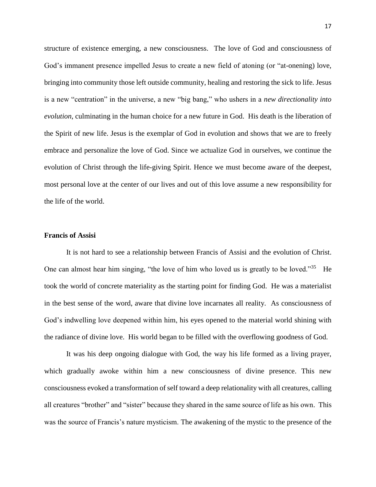structure of existence emerging, a new consciousness. The love of God and consciousness of God's immanent presence impelled Jesus to create a new field of atoning (or "at-onening) love, bringing into community those left outside community, healing and restoring the sick to life. Jesus is a new "centration" in the universe, a new "big bang," who ushers in a *new directionality into evolution*, culminating in the human choice for a new future in God. His death is the liberation of the Spirit of new life. Jesus is the exemplar of God in evolution and shows that we are to freely embrace and personalize the love of God. Since we actualize God in ourselves, we continue the evolution of Christ through the life-giving Spirit. Hence we must become aware of the deepest, most personal love at the center of our lives and out of this love assume a new responsibility for the life of the world.

## **Francis of Assisi**

It is not hard to see a relationship between Francis of Assisi and the evolution of Christ. One can almost hear him singing, "the love of him who loved us is greatly to be loved."<sup>35</sup> He took the world of concrete materiality as the starting point for finding God. He was a materialist in the best sense of the word, aware that divine love incarnates all reality. As consciousness of God's indwelling love deepened within him, his eyes opened to the material world shining with the radiance of divine love. His world began to be filled with the overflowing goodness of God.

It was his deep ongoing dialogue with God, the way his life formed as a living prayer, which gradually awoke within him a new consciousness of divine presence. This new consciousness evoked a transformation of self toward a deep relationality with all creatures, calling all creatures "brother" and "sister" because they shared in the same source of life as his own. This was the source of Francis's nature mysticism. The awakening of the mystic to the presence of the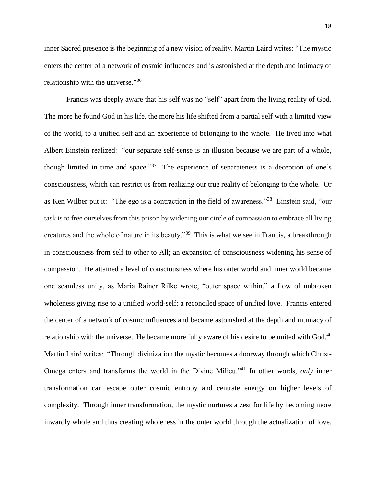inner Sacred presence is the beginning of a new vision of reality. Martin Laird writes: "The mystic enters the center of a network of cosmic influences and is astonished at the depth and intimacy of relationship with the universe."<sup>36</sup>

Francis was deeply aware that his self was no "self" apart from the living reality of God. The more he found God in his life, the more his life shifted from a partial self with a limited view of the world, to a unified self and an experience of belonging to the whole. He lived into what Albert Einstein realized: "our separate self-sense is an illusion because we are part of a whole, though limited in time and space."<sup>37</sup> The experience of separateness is a deception of one's consciousness, which can restrict us from realizing our true reality of belonging to the whole. Or as Ken Wilber put it: "The ego is a contraction in the field of awareness."<sup>38</sup> Einstein said, "our task is to free ourselves from this prison by widening our circle of compassion to embrace all living creatures and the whole of nature in its beauty."<sup>39</sup> This is what we see in Francis, a breakthrough in consciousness from self to other to All; an expansion of consciousness widening his sense of compassion. He attained a level of consciousness where his outer world and inner world became one seamless unity, as Maria Rainer Rilke wrote, "outer space within," a flow of unbroken wholeness giving rise to a unified world-self; a reconciled space of unified love. Francis entered the center of a network of cosmic influences and became astonished at the depth and intimacy of relationship with the universe. He became more fully aware of his desire to be united with God.<sup>40</sup> Martin Laird writes: "Through divinization the mystic becomes a doorway through which Christ-Omega enters and transforms the world in the Divine Milieu."<sup>41</sup> In other words, *only* inner transformation can escape outer cosmic entropy and centrate energy on higher levels of complexity. Through inner transformation, the mystic nurtures a zest for life by becoming more inwardly whole and thus creating wholeness in the outer world through the actualization of love,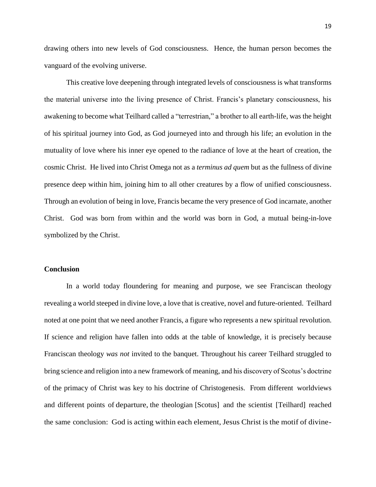drawing others into new levels of God consciousness. Hence, the human person becomes the vanguard of the evolving universe.

This creative love deepening through integrated levels of consciousness is what transforms the material universe into the living presence of Christ. Francis's planetary consciousness, his awakening to become what Teilhard called a "terrestrian," a brother to all earth-life, was the height of his spiritual journey into God, as God journeyed into and through his life; an evolution in the mutuality of love where his inner eye opened to the radiance of love at the heart of creation, the cosmic Christ. He lived into Christ Omega not as a *terminus ad quem* but as the fullness of divine presence deep within him, joining him to all other creatures by a flow of unified consciousness. Through an evolution of being in love, Francis became the very presence of God incarnate, another Christ. God was born from within and the world was born in God, a mutual being-in-love symbolized by the Christ.

## **Conclusion**

In a world today floundering for meaning and purpose, we see Franciscan theology revealing a world steeped in divine love, a love that is creative, novel and future-oriented. Teilhard noted at one point that we need another Francis, a figure who represents a new spiritual revolution. If science and religion have fallen into odds at the table of knowledge, it is precisely because Franciscan theology *was not* invited to the banquet. Throughout his career Teilhard struggled to bring science and religion into a new framework of meaning, and his discovery of Scotus's doctrine of the primacy of Christ was key to his doctrine of Christogenesis. From different worldviews and different points of departure, the theologian [Scotus] and the scientist [Teilhard] reached the same conclusion: God is acting within each element, Jesus Christ is the motif of divine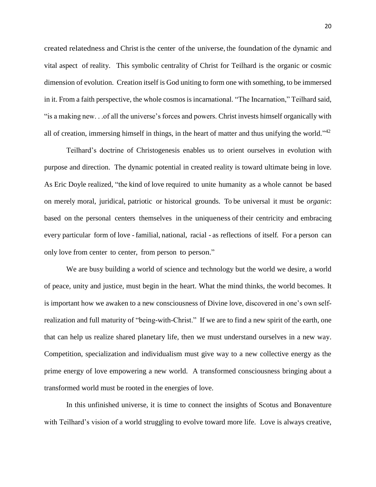created relatedness and Christ isthe center of the universe, the foundation of the dynamic and vital aspect of reality. This symbolic centrality of Christ for Teilhard is the organic or cosmic dimension of evolution. Creation itself is God uniting to form one with something, to be immersed in it. From a faith perspective, the whole cosmos is incarnational. "The Incarnation," Teilhard said, "is a making new. . .of all the universe's forces and powers. Christ invests himself organically with all of creation, immersing himself in things, in the heart of matter and thus unifying the world."<sup>42</sup>

Teilhard's doctrine of Christogenesis enables us to orient ourselves in evolution with purpose and direction. The dynamic potential in created reality is toward ultimate being in love. As Eric Doyle realized, "the kind of love required to unite humanity as a whole cannot be based on merely moral, juridical, patriotic or historical grounds. To be universal it must be *organic*: based on the personal centers themselves in the uniqueness of their centricity and embracing every particular form of love - familial, national, racial - as reflections of itself. For a person can only love from center to center, from person to person."

We are busy building a world of science and technology but the world we desire, a world of peace, unity and justice, must begin in the heart. What the mind thinks, the world becomes. It is important how we awaken to a new consciousness of Divine love, discovered in one's own selfrealization and full maturity of "being-with-Christ." If we are to find a new spirit of the earth, one that can help us realize shared planetary life, then we must understand ourselves in a new way. Competition, specialization and individualism must give way to a new collective energy as the prime energy of love empowering a new world. A transformed consciousness bringing about a transformed world must be rooted in the energies of love.

In this unfinished universe, it is time to connect the insights of Scotus and Bonaventure with Teilhard's vision of a world struggling to evolve toward more life. Love is always creative,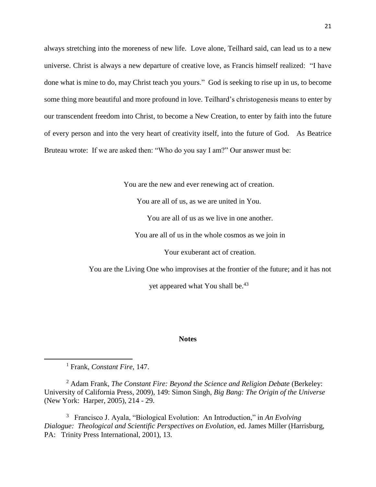always stretching into the moreness of new life. Love alone, Teilhard said, can lead us to a new universe. Christ is always a new departure of creative love, as Francis himself realized: "I have done what is mine to do, may Christ teach you yours." God is seeking to rise up in us, to become some thing more beautiful and more profound in love. Teilhard's christogenesis means to enter by our transcendent freedom into Christ, to become a New Creation, to enter by faith into the future of every person and into the very heart of creativity itself, into the future of God. As Beatrice Bruteau wrote: If we are asked then: "Who do you say I am?" Our answer must be:

You are the new and ever renewing act of creation.

You are all of us, as we are united in You.

You are all of us as we live in one another.

You are all of us in the whole cosmos as we join in

Your exuberant act of creation.

You are the Living One who improvises at the frontier of the future; and it has not

yet appeared what You shall be.<sup>43</sup>

#### **Notes**

<sup>1</sup> Frank, *Constant Fire,* 147.

 $\overline{a}$ 

<sup>2</sup> Adam Frank, *The Constant Fire: Beyond the Science and Religion Debate* (Berkeley: University of California Press, 2009), 149: Simon Singh, *Big Bang: The Origin of the Universe*  (New York: Harper, 2005), 214 - 29.

3 Francisco J. Ayala, "Biological Evolution: An Introduction," in *An Evolving Dialogue: Theological and Scientific Perspectives on Evolution*, ed. James Miller (Harrisburg, PA: Trinity Press International, 2001), 13.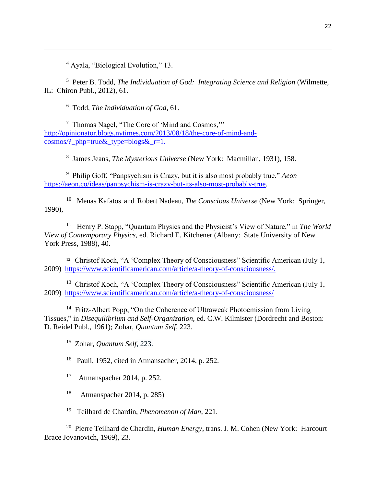<sup>4</sup> Ayala, "Biological Evolution," 13.

 $\overline{\phantom{a}}$ 

5 Peter B. Todd, *The Individuation of God: Integrating Science and Religion* (Wilmette, IL: Chiron Publ., 2012), 61.

6 Todd, *The Individuation of God*, 61.

7 Thomas Nagel, "The Core of 'Mind and Cosmos,'" [http://opinionator.blogs.nytimes.com/2013/08/18/the-core-of-mind-and](http://opinionator.blogs.nytimes.com/2013/08/18/the-core-of-mind-and-cosmos/?_php=true&_type=blogs&_r=1)[cosmos/?\\_php=true&\\_type=blogs&\\_r=1.](http://opinionator.blogs.nytimes.com/2013/08/18/the-core-of-mind-and-cosmos/?_php=true&_type=blogs&_r=1)

8 James Jeans, *The Mysterious Universe* (New York: Macmillan, 1931), 158.

9 Philip Goff, "Panpsychism is Crazy, but it is also most probably true." *Aeon*  [https://aeon.co/ideas/panpsychism-is-crazy-but-its-also-most-probably-true.](https://aeon.co/ideas/panpsychism-is-crazy-but-its-also-most-probably-true)

<sup>10</sup> Menas Kafatos and Robert Nadeau, *The Conscious Universe* (New York: Springer, 1990),

<sup>11</sup> Henry P. Stapp, "Quantum Physics and the Physicist's View of Nature," in *The World View of Contemporary Physics,* ed. Richard E. Kitchener (Albany: State University of New York Press, 1988), 40.

<sup>12</sup> Christof Koch, "A 'Complex Theory of Consciousness" Scientific American (July 1, 2009) [https://www.scientificamerican.com/article/a-theory-of-consciousness/.](https://www.scientificamerican.com/article/a-theory-of-consciousness/)

<sup>13</sup> Christof Koch, "A 'Complex Theory of Consciousness" Scientific American (July 1, 2009) <https://www.scientificamerican.com/article/a-theory-of-consciousness/>

<sup>14</sup> Fritz-Albert Popp, "On the Coherence of Ultraweak Photoemission from Living Tissues," in *Disequilibrium and Self-Organization,* ed. C.W. Kilmister (Dordrecht and Boston: D. Reidel Publ., 1961); Zohar, *Quantum Self*, 223.

15 Zohar, *Quantum Self*, 223.

16 Pauli, 1952, cited in Atmansacher, 2014, p. 252.

17 Atmanspacher 2014, p. 252.

18 Atmanspacher 2014, p. 285)

19 Teilhard de Chardin, *Phenomenon of Man*, 221.

20 Pierre Teilhard de Chardin, *Human Energy*, trans. J. M. Cohen (New York: Harcourt Brace Jovanovich, 1969), 23.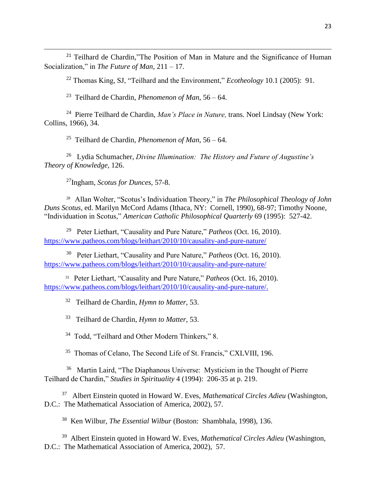<sup>21</sup> Teilhard de Chardin,"The Position of Man in Mature and the Significance of Human Socialization," in *The Future of Man*, 211 – 17.

<sup>22</sup> Thomas King, SJ, "Teilhard and the Environment," *Ecotheology* 10.1 (2005): 91.

23 Teilhard de Chardin, *Phenomenon of Man*, 56 – 64.

24 Pierre Teilhard de Chardin, *Man's Place in Nature,* trans. Noel Lindsay (New York: Collins, 1966), 34.

25 Teilhard de Chardin, *Phenomenon of Man*, 56 – 64.

26 Lydia Schumacher, *Divine Illumination: The History and Future of Augustine's Theory of Knowledge,* 126.

<sup>27</sup>Ingham, *Scotus for Dunces*, 57-8.

 $\overline{\phantom{a}}$ 

28 Allan Wolter, "Scotus's Individuation Theory," in *The Philosophical Theology of John Duns Scotus,* ed. Marilyn McCord Adams (Ithaca, NY: Cornell, 1990), 68-97; Timothy Noone, "Individuation in Scotus," *American Catholic Philosophical Quarterly* 69 (1995): 527-42.

29 Peter Liethart, "Causality and Pure Nature," *Patheos* (Oct. 16, 2010). <https://www.patheos.com/blogs/leithart/2010/10/causality-and-pure-nature/>

30 Peter Liethart, "Causality and Pure Nature," *Patheos* (Oct. 16, 2010). <https://www.patheos.com/blogs/leithart/2010/10/causality-and-pure-nature/>

31 Peter Liethart, "Causality and Pure Nature," *Patheos* (Oct. 16, 2010). [https://www.patheos.com/blogs/leithart/2010/10/causality-and-pure-nature/.](https://www.patheos.com/blogs/leithart/2010/10/causality-and-pure-nature/)

32 Teilhard de Chardin, *Hymn to Matter*, 53.

33 Teilhard de Chardin, *Hymn to Matter,* 53.

<sup>34</sup> Todd, "Teilhard and Other Modern Thinkers," 8.

<sup>35</sup> Thomas of Celano, The Second Life of St. Francis," CXLVIII, 196.

<sup>36</sup> Martin Laird, "The Diaphanous Universe: Mysticism in the Thought of Pierre Teilhard de Chardin," *Studies in Spirituality* 4 (1994): 206-35 at p. 219.

37 Albert Einstein quoted in Howard W. Eves, *Mathematical Circles Adieu* (Washington, D.C.: The Mathematical Association of America, 2002), 57.

38 Ken Wilbur, *The Essential Wilbur* (Boston: Shambhala, 1998), 136.

39 Albert Einstein quoted in Howard W. Eves, *Mathematical Circles Adieu* (Washington, D.C.: The Mathematical Association of America, 2002), 57.